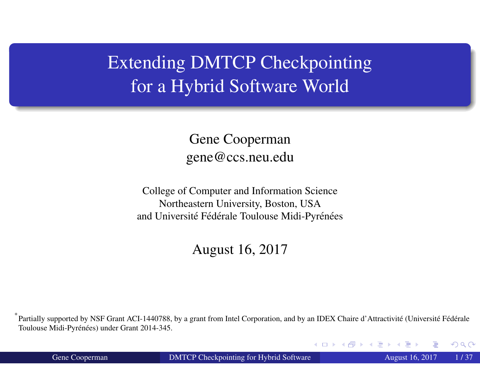## <span id="page-0-0"></span>Extending DMTCP Checkpointingfor <sup>a</sup> Hybrid Software World

Gene Coopermangene@ccs.neu.edu

College of Computer and Information ScienceNortheastern University, Boston, USAand Université Fédérale Toulouse Midi-Pyrénées

#### August 16, 2017

\*Partially supported by NSF Grant ACI-1440788, by a grant from Intel Corporation, and by an IDEX Chaire d'Attractivité (Université Fédérale Teuleuse Midi-Dunénées) under Grant 2014 245 Toulouse Midi-Pyrénées) under Grant 2014-345.

 $\Omega$ 

к □ ▶ к @ ▶ к 重 ▶ к 重 ▶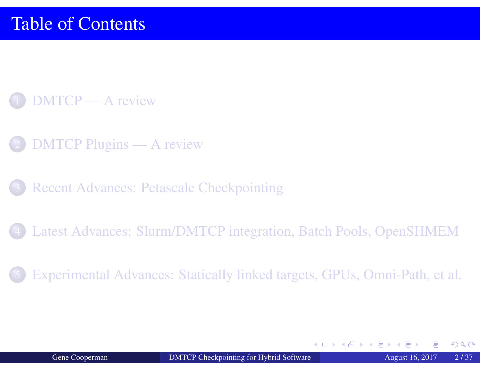- [DMTCP](#page-2-0) A review
- DMTCP [Plugins](#page-9-0) <sup>A</sup> review
- Recent Advances: Petascale [Checkpointing](#page-13-0)
- Latest Advances: Slurm/DMTCP integration, Batch Pools, [OpenSHMEM](#page-16-0)
- [Experimental](#page-20-0) Advances: Statically linked targets, GPUs, Omni-Path, et al.

 $\Omega$ 

**◆ロト ◆母ト ◆ミト ◆ミト**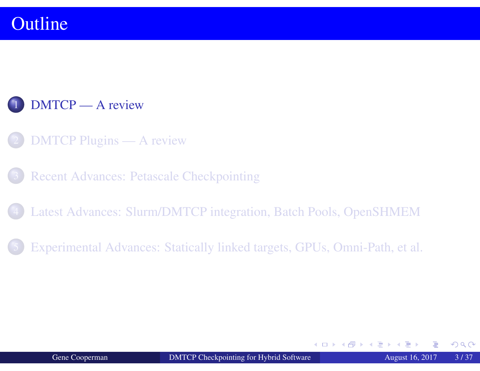#### <span id="page-2-0"></span>1[DMTCP](#page-2-0) — <sup>A</sup> review

- DMTCP [Plugins](#page-9-0) <sup>A</sup> review
- Recent Advances: Petascale [Checkpointing](#page-13-0)
- Latest Advances: Slurm/DMTCP integration, Batch Pools, [OpenSHMEM](#page-16-0)
- [Experimental](#page-20-0) Advances: Statically linked targets, GPUs, Omni-Path, et al.

重

 $\Omega$ 

◀ □ ▶ ◀ @ ▶ ◀ 듣 ▶ ◀ 듣 ▶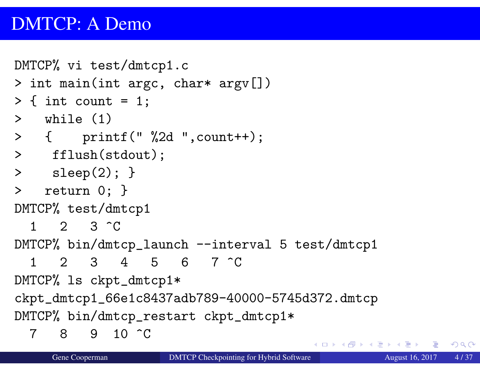## DMTCP: A Demo

```
DMTCP% vi test/dmtcp1.c
> int main(int argc, char* argv[])
> { int count = 1;
> while (1)
> { printf(" %2d ",count++);
> fflush(stdout);
> sleep(2); }
> return 0; }
DMTCP% test/dmtcp1
  1 \quad 2 \quad 3 \stackrel{\frown}{\mathcal{C}}DMTCP% bin/dmtcp_launch --interval 5 test/dmtcp1
  1 2 3 4 5 6 7 ^C
DMTCP% ls ckpt_dmtcp1*
ckpt_dmtcp1_66e1c8437adb789-40000-5745d372.dmtcpDMTCP% bin/dmtcp_restart ckpt_dmtcp1*
  7 8 9 10 ^C
```
◀ㅁ▶◀♬▶◀돋▶◀돋▶ \_ 革\_ ⊙٩⊙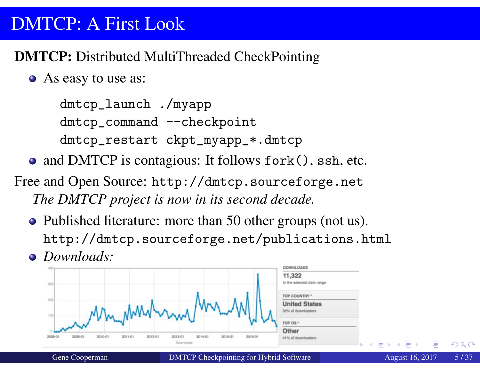## DMTCP: A First Look

#### DMTCP: Distributed MultiThreaded CheckPointing

• As easy to use as:

dmtcp\_launch ./myapp dmtcp\_command --checkpoint dmtcp\_restart ckpt\_myapp\_\*.dmtcp

- and DMTCP is contagious: It follows fork(), ssh, etc.
- Free and Open Source: <http://dmtcp.sourceforge.net>*The DMTCP project is now in its second decade.*
	- Published literature: more than 50 other groups (not us). <http://dmtcp.sourceforge.net/publications.html>
	- *Downloads:*



∍

 $\Omega$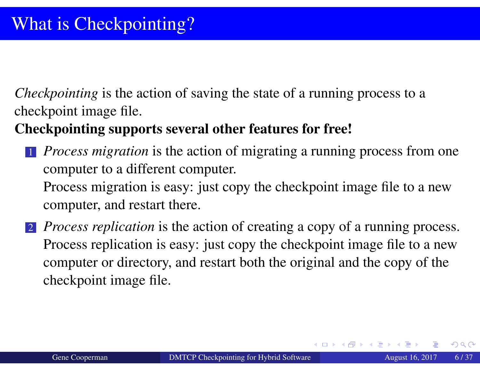*Checkpointing* is the action of saving the state of <sup>a</sup> running process to <sup>a</sup> checkpoint image file.

#### Checkpointing supports several other features for free!

- 1 *Process migration* is the action of migrating <sup>a</sup> running process from one computer to <sup>a</sup> different computer. Process migration is easy: just copy the checkpoint image file to <sup>a</sup> newcomputer, and restart there.
- 2 *Process replication* is the action of creating <sup>a</sup> copy of <sup>a</sup> running process. Process replication is easy: just copy the checkpoint image file to <sup>a</sup> new computer or directory, and restart both the original and the copy of the checkpoint image file.

净

**◆ロト ◆伊ト ◆ミト ◆ミト**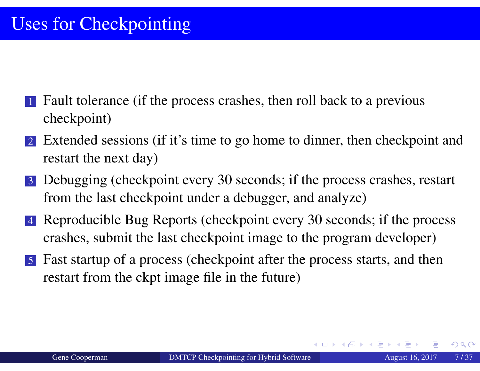- 1 Fault tolerance (if the process crashes, then roll back to <sup>a</sup> previouscheckpoint)
- 2 Extended sessions (if it's time to go home to dinner, then checkpoint andrestart the next day)
- 3 Debugging (checkpoint every <sup>30</sup> seconds; if the process crashes, restart from the last checkpoint under <sup>a</sup> debugger, and analyze)
- 4 Reproducible Bug Reports (checkpoint every <sup>30</sup> seconds; if the processcrashes, submit the last checkpoint image to the program developer)
- 5 Fast startup of <sup>a</sup> process (checkpoint after the process starts, and thenrestart from the ckpt image file in the future)

净

**◆ロト ◆伊ト ◆ミト ◆ミト**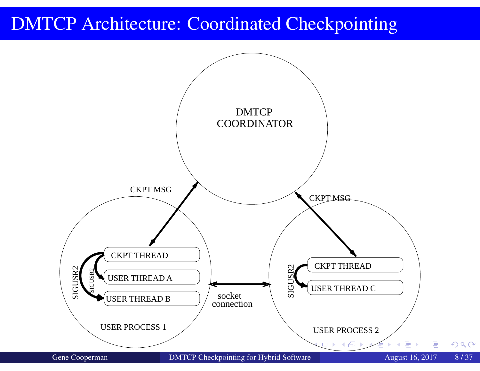## DMTCP Architecture: Coordinated Checkpointing

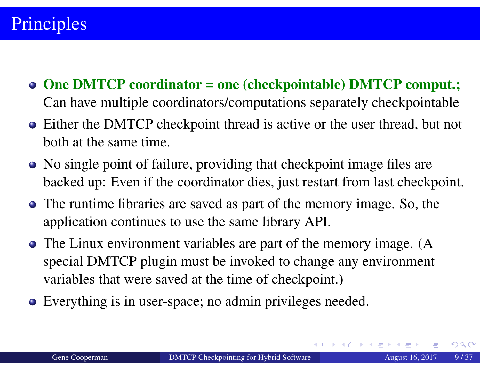- <span id="page-8-0"></span>One DMTCP coordinator <sup>=</sup> one (checkpointable) DMTCP comput.;Can have multiple coordinators/computations separately checkpointable
- Either the DMTCP checkpoint thread is active or the user thread, but notboth at the same time.
- No single point of failure, providing that checkpoint image files are backed up: Even if the coordinator dies, just restart from last checkpoint.
- The runtime libraries are saved as par<sup>t</sup> of the memory image. So, theapplication continues to use the same library API.
- The Linux environment variables are par<sup>t</sup> of the memory image. (A special DMTCP plugin must be invoked to change any environmentvariables that were saved at the time of checkpoint.)
- Everything is in user-space; no admin privileges needed.

э

**≮ロト ⊀母 ▶ ⊀ ミト ⊀ ミト**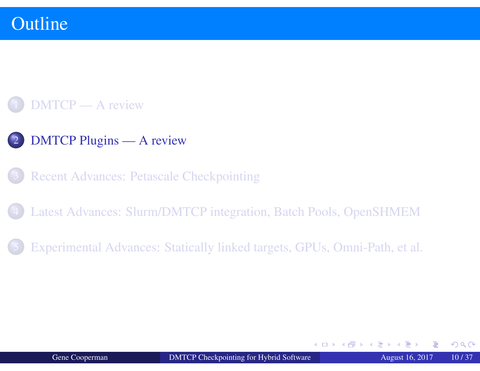#### <span id="page-9-0"></span>[DMTCP](#page-2-0) — <sup>A</sup> review

- 2DMTCP [Plugins](#page-9-0) — <sup>A</sup> review
- Recent Advances: Petascale [Checkpointing](#page-13-0)
- Latest Advances: Slurm/DMTCP integration, Batch Pools, [OpenSHMEM](#page-16-0)
- [Experimental](#page-20-0) Advances: Statically linked targets, GPUs, Omni-Path, et al.

э

 $\Omega$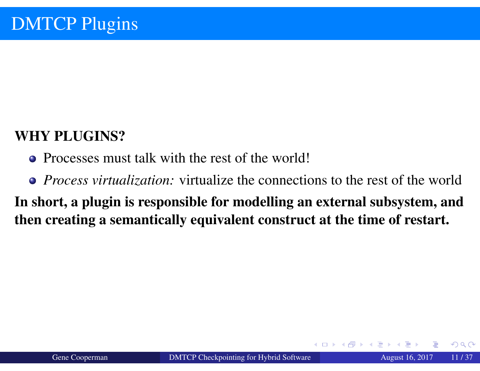#### WHY PLUGINS?

- Processes must talk with the rest of the world! $\bullet$
- *Process virtualization:* virtualize the connections to the rest of the world

In short, <sup>a</sup> plugin is responsible for modelling an external subsystem, andthen creating <sup>a</sup> semantically equivalent construct at the time of restart.

つのい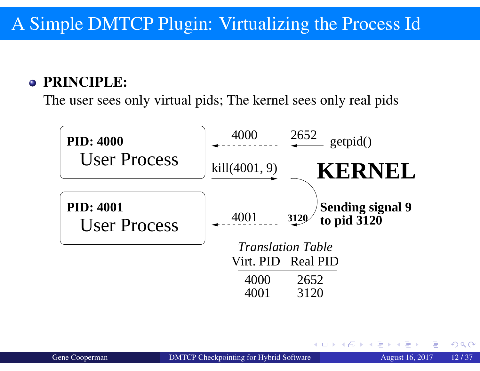#### PRINCIPLE:

<span id="page-11-0"></span>The user sees only virtual pids; The kernel sees only real pids



画

 $\Omega$ 

**K ロ ▶ K 伊 ▶ K ミ ▶ K ミ ▶**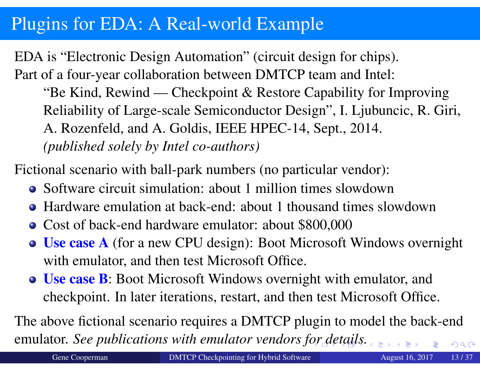## Plugins for EDA: A Real-world Example

EDA is "Electronic Design Automation" (circuit design for chips). Part of <sup>a</sup> four-year collaboration between DMTCP team and Intel:

<span id="page-12-0"></span>"Be Kind, Rewind — Checkpoint & Restore Capability for Improving Reliability of Large-scale Semiconductor Design", I. Ljubuncic, R. Giri, A. Rozenfeld, and A. Goldis, IEEE HPEC-14, Sept., 2014. *(published solely by Intel co-authors)*

Fictional scenario with ball-park numbers (no particular vendor):

- Software circuit simulation: about 1 million times slowdown
- Hardware emulation at back-end: about 1 thousand times slowdown
- Cost of back-end hardware emulator: about \$800,000
- Use case A (for a new CPU design): Boot Microsoft Windows overnight with emulator, and then test Microsoft Office.
- Use case B: Boot Microsoft Windows overnight with emulator, andcheckpoint. In later iterations, restart, and then test Microsoft Office.

The above fictional scenario requires <sup>a</sup> DMTCP plugin to model the back-endemulator. *See publications with emulator vendors [for](#page-11-0) [de](#page-13-0)[t](#page-11-0)[ail](#page-12-0)[s.](#page-13-0)*  $DQ$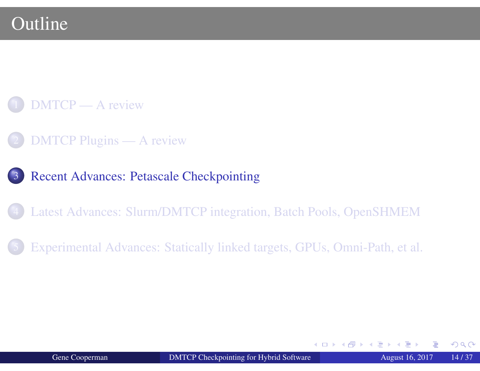### <span id="page-13-0"></span>[DMTCP](#page-2-0) — <sup>A</sup> review

- DMTCP [Plugins](#page-9-0) <sup>A</sup> review
- 3Recent Advances: Petascale [Checkpointing](#page-13-0)
- Latest Advances: Slurm/DMTCP integration, Batch Pools, [OpenSHMEM](#page-16-0)
- [Experimental](#page-20-0) Advances: Statically linked targets, GPUs, Omni-Path, et al.

重

 $\Omega$ 

◀ □ ▶ ◀ @ ▶ ◀ 듣 ▶ ◀ 듣 ▶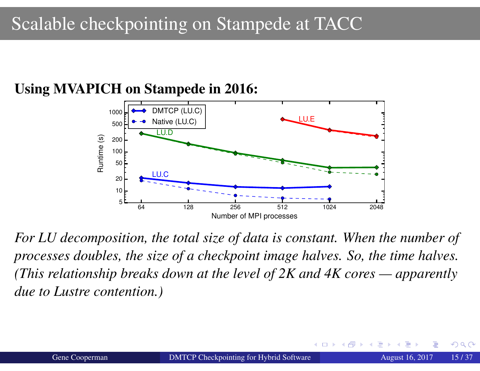## Scalable checkpointing on Stampede at TACC

#### Using MVAPICH on Stampede in 2016:



For LU decomposition, the total size of data is constant. When the number of processes doubles, the size of a checkpoint image halves. So, the time halves. (This relationship breaks down at the level of 2K and 4K cores — apparently *due to Lustre contention.)*

へのい

Ξ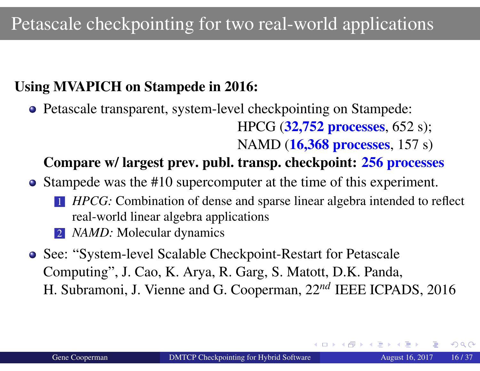## Petascale checkpointing for two real-world applications

#### Using MVAPICH on Stampede in 2016:

**● Petascale transparent, system-level checkpointing on Stampede:** HPCG (32,752 processes, 652 s);NAMD (16,368 processes, 157 s)

#### Compare w/ largest prev. publ. transp. checkpoint: <sup>256</sup> processes

- Stampede was the #10 supercomputer at the time of this experiment.
	- 1*HPCG:* Combination of dense and sparse linear algebra intended to reflect real-world linear algebra applications
	- 2*NAMD:* Molecular dynamics
- See: "System-level Scalable Checkpoint-Restart for PetascaleComputing", J. Cao, K. Arya, R. Garg, S. Matott, D.K. Panda, H. Subramoni, J. Vienne and G. Cooperman, <sup>22</sup>*nd* IEEE ICPADS, <sup>2016</sup>

к **□ ▶ к 倒 ▶ к 를 ▶ к 틀 ▶**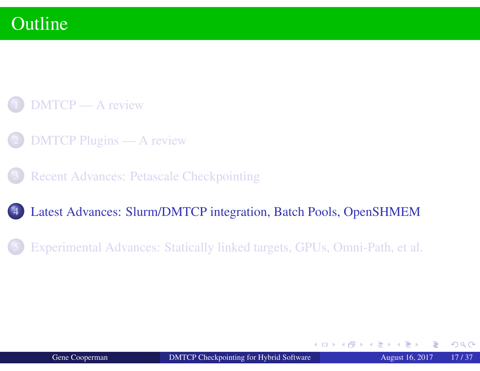- <span id="page-16-0"></span>[DMTCP](#page-2-0) — <sup>A</sup> review
- DMTCP [Plugins](#page-9-0) <sup>A</sup> review
- Recent Advances: Petascale [Checkpointing](#page-13-0)
- 4Latest Advances: Slurm/DMTCP integration, Batch Pools, [OpenSHMEM](#page-16-0)
- [Experimental](#page-20-0) Advances: Statically linked targets, GPUs, Omni-Path, et al.

重

 $OQ$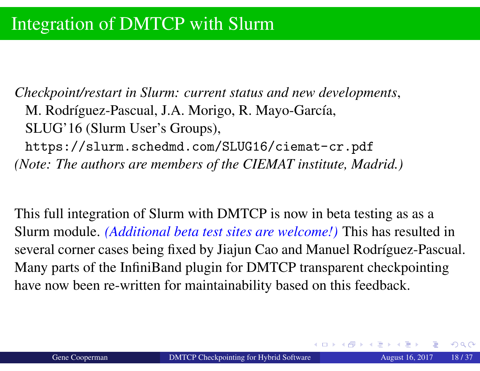*Checkpoint/restart in Slurm: current status and new developments*, M. Rodríguez-Pascual, J.A. Morigo, R. Mayo-García, SLUG'16 (Slurm User's Groups), <https://slurm.schedmd.com/SLUG16/ciemat-cr.pdf>*(Note: The authors are members of the CIEMAT institute, Madrid.)*

This full integration of Slurm with DMTCP is now in beta testing as as <sup>a</sup>Slurm module. *(Additional beta test sites are welcome!)* This has resulted inseveral corner cases being fixed by Jiajun Cao and Manuel Rodríguez-Pascual. Many parts of the InfiniBand plugin for DMTCP transparent checkpointinghave now been re-written for maintainability based on this feedback.

к **□ ▶ к 倒 ▶ к 를 ▶ к 틀 ▶**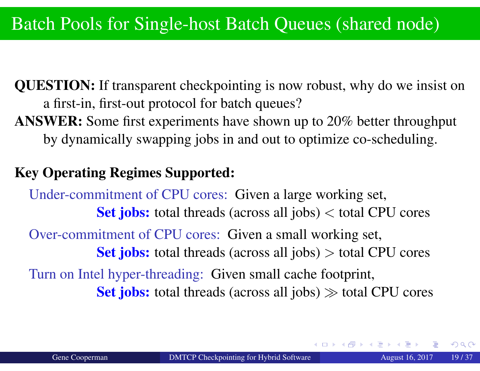QUESTION: If transparent checkpointing is now robust, why do we insist on<sup>a</sup> first-in, first-out protocol for batch queues?

 $\mathbf{ANSWER:}$  Some first experiments have shown up to  $20\%$  better throughput by dynamically swapping jobs in and out to optimize co-scheduling.

Key Operating Regimes Supported:

Under-commitment of CPU cores: Given <sup>a</sup> large working set, Set jobs: total threads (across all jobs) < total CPU cores Over-commitment of CPU cores: Given <sup>a</sup> small working set, Set jobs: total threads (across all jobs) > total CPU cores Turn on Intel hyper-threading: Given small cache footprint, Set jobs: total threads (across all jobs) ≫ total CPU cores

つのい

**◆ロト ◆ 伊 ▶ ◆ 君 ▶ ◆ 君 ▶**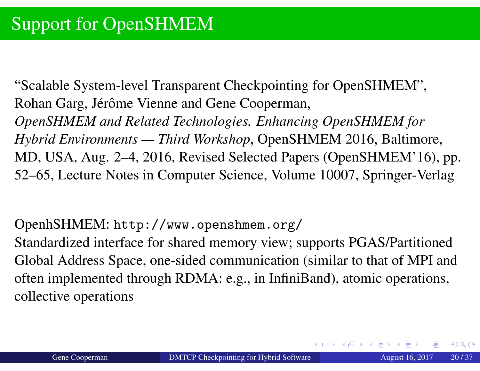<span id="page-19-0"></span>"Scalable System-level Transparent Checkpointing for OpenSHMEM", Rohan Garg, Jérôme Vienne and Gene Cooperman, *OpenSHMEM and Related Technologies. Enhancing OpenSHMEM for Hybrid Environments — Third Workshop*, OpenSHMEM 2016, Baltimore, MD, USA, Aug. 2–4, 2016, Revised Selected Papers (OpenSHMEM'16), pp. 52–65, Lecture Notes in Computer Science, Volume 10007, Springer-Verlag

OpenhSHMEM: <http://www.openshmem.org/>

 Standardized interface for shared memory view; supports PGAS/Partitioned Global Address Space, one-sided communication (similar to that of MPI and often implemented through RDMA: e.g., in InfiniBand), atomic operations, collective operations

**◆ロト ◆ 伊 ▶ ◆ 君 ▶ ◆ 君 ▶**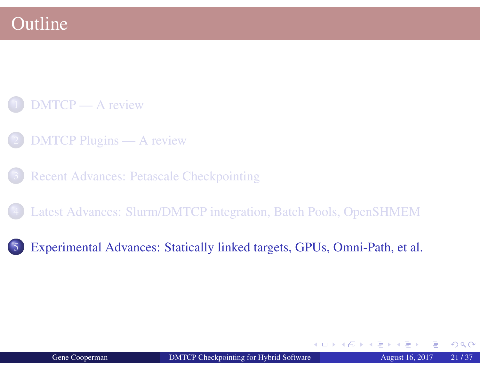#### <span id="page-20-0"></span>[DMTCP](#page-2-0) — <sup>A</sup> review

- DMTCP [Plugins](#page-9-0) <sup>A</sup> review
- Recent Advances: Petascale [Checkpointing](#page-13-0)
- Latest Advances: Slurm/DMTCP integration, Batch Pools, [OpenSHMEM](#page-16-0)
- 5[Experimental](#page-20-0) Advances: Statically linked targets, GPUs, Omni-Path, et al.

重

 $OQ$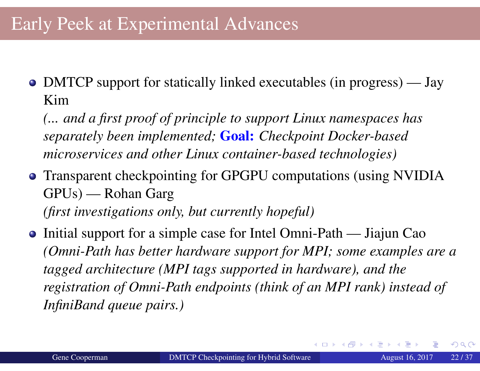## Early Peek at Experimental Advances

DMTCP suppor<sup>t</sup> for statically linked executables (in progress) — JayKim

(... and a first proof of principle to support Linux namespaces has *separately been implemented;* Goal: *Checkpoint Docker-basedmicroservices and other Linux container-based technologies)*

- Transparent checkpointing for GPGPU computations (using NVIDIAGPUs) — Rohan Garg*(first investigations only, but currently hopeful)*
- Initial support for a simple case for Intel Omni-Path Jiajun Cao (Omni-Path has better hardware support for MPI; some examples are a *tagged architecture (MPI tags supported in hardware), and theregistration of Omni-Path endpoints (think of an MPI rank) instead ofInfiniBand queue pairs.)*

 $\Omega$ 

◀ ロ ▶ ◀ 包 ▶ ◀ 듣 ▶ ◀ 듣 ▶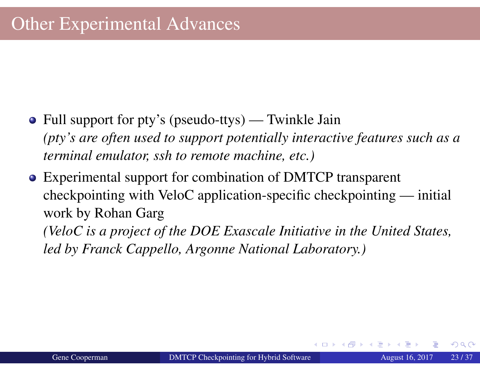- Full support for pty's (pseudo-ttys) Twinkle Jain (pty's are often used to support potentially interactive features such as a *terminal emulator, ssh to remote machine, etc.)*
- Experimental suppor<sup>t</sup> for combination of DMTCP transparentcheckpointing with VeloC application-specific checkpointing — initialwork by Rohan Garg(VeloC is a project of the DOE Exascale Initiative in the United States, *led by Franck Cappello, Argonne National Laboratory.)*

к □ ▶ к 倒 ▶ к 듣 ▶ к 듣 ▶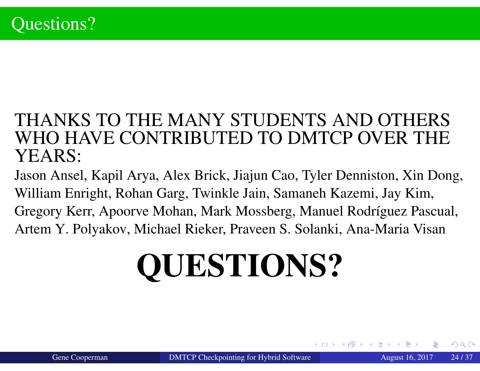## THANKS TO THE MANY STUDENTS AND OTHERSWHO HAVE CONTRIBUTED TO DMTCP OVER THEYEARS:

Jason Ansel, Kapil Arya, Alex Brick, Jiajun Cao, Tyler Denniston, Xin Dong, William Enright, Rohan Garg, Twinkle Jain, Samaneh Kazemi, Jay Kim, Gregory Kerr, Apoorve Mohan, Mark Mossberg, Manuel Rodríguez Pascual, Artem Y. Polyakov, Michael Rieker, Praveen S. Solanki, Ana-Maria Visan

# QUESTIONS?

◀ □ ▶ ◀ @ ▶ ◀ 듣 ▶ ◀ 듣 ▶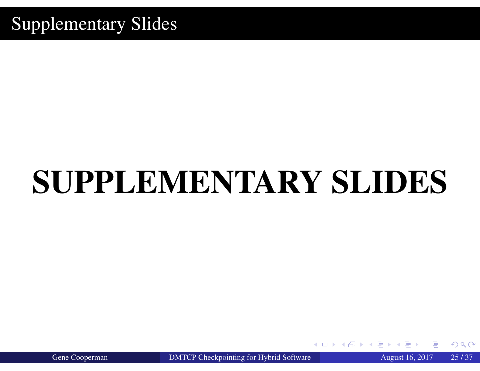## SUPPLEMENTARY SLIDES

Gene Cooperman

DMTCP [Checkpointing](#page-0-0) for Hybrid Software August 16, 2017 25/37

э

 $\Omega$ 

- K 동 K K 동 K

 $\blacksquare$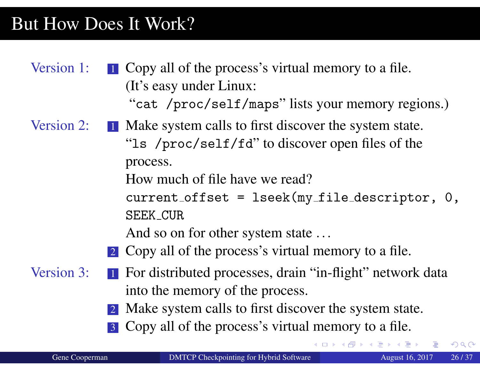## But How Does It Work?

Version 1:1 Copy all of the process's virtual memory to <sup>a</sup> file. (It's easy under Linux:"cat /proc/self/maps" lists your memory regions.)

Version 2:1 Make system calls to first discover the system state. "ls /proc/self/fd" to discover open files of the process.

How much of file have we read?

 $\texttt{current\_offset} \, = \, \texttt{lseek}(\texttt{my\_file\_description}, \, \, 0$  ,  ${\rm SEEK\_CUR}$ 

And so on for other system state  $\dots$ 

- 2 Copy all of the process's virtual memory to <sup>a</sup> file.
- Version 3:1For distributed processes, drain "in-flight" network data into the memory of the process.
	- 2Make system calls to first discover the system state.
	- 3Copy all of the process's virtual memory to <sup>a</sup> file.

 $\Omega$ 

к □ ▶ к @ ▶ к 营 ▶ к 营 ▶ ...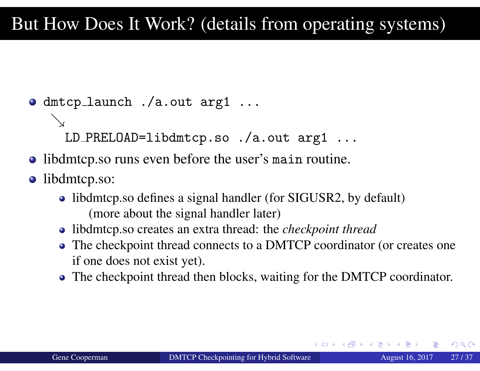## But How Does It Work? (details from operating systems)

```
dmtcp launch ./a.out arg1 ...
 \searrowLD PRELOAD=libdmtcp.so ./a.out arg1 ...
```
- libdmtcp.so runs even before the user's main routine.  $\bullet$
- libdmtcp.so: $\bullet$ 
	- libdmtcp.so defines a signal handler (for SIGUSR2, by default) (more about the signal handler later)
	- libdmtcp.so creates an extra thread: the *checkpoint thread*
	- The checkpoint thread connects to <sup>a</sup> DMTCP coordinator (or creates oneif one does not exist yet).
	- The checkpoint thread then blocks, waiting for the DMTCP coordinator.

 $OQ$ 

◀ ㅁ ▶ ◀ @ ▶ ◀ 듣 ▶ ◀ 듣 ▶ │ 듣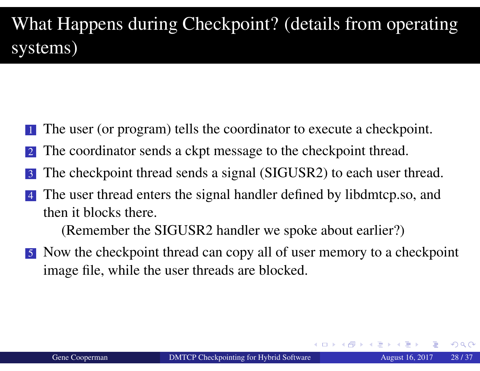## What Happens during Checkpoint? (details from operatingsystems)

- 1The user (or program) tells the coordinator to execute <sup>a</sup> checkpoint.
- 2The coordinator sends <sup>a</sup> ckpt message to the checkpoint thread.
- 3The checkpoint thread sends <sup>a</sup> signal (SIGUSR2) to each user thread.
- 4 The user thread enters the signal handler defined by libdmtcp.so, andthen it blocks there.

(Remember the SIGUSR2 handler we spoke about earlier?)

5 Now the checkpoint thread can copy all of user memory to <sup>a</sup> checkpoint image file, while the user threads are blocked.

へのい

◀ ㅁ ▶ ◀ @ ▶ ◀ 듣 ▶ ◀ 듣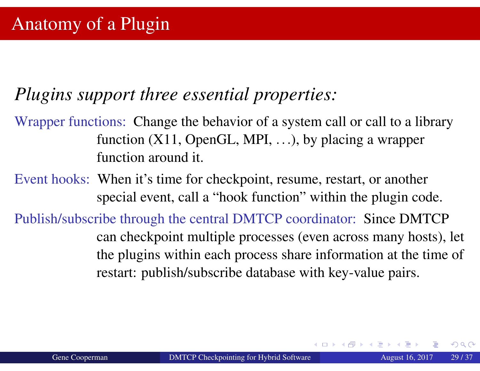## <span id="page-28-0"></span>*Plugins suppor<sup>t</sup> three essential properties:*

Wrapper functions: Change the behavior of <sup>a</sup> system call or call to <sup>a</sup> libraryfunction  $(X11, OpenGL, MPI, ...)$ , by placing a wrapper function around it.

Event hooks: When it's time for checkpoint, resume, restart, or anotherspecial event, call <sup>a</sup> "hook function" within the plugin code.

Publish/subscribe through the central DMTCP coordinator: Since DMTCP can checkpoint multiple processes (even across many hosts), letthe plugins within each process share information at the time ofrestart: publish/subscribe database with key-value pairs.

**◆ロト ◆ 伊 ▶ ◆ 君 ▶ ◆ 君 ▶**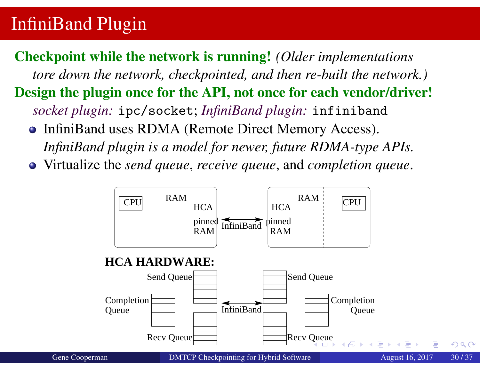## <span id="page-29-0"></span>InfiniBand Plugin

Checkpoint while the network is running! *(Older implementationstore down the network, checkpointed, and then re-built the network.)*Design the plugin once for the API, not once for each vendor/driver!*socket <sup>p</sup>lugin:* ipc/socket; *InfiniBand <sup>p</sup>lugin:* infiniband

- InfiniBand uses RDMA (Remote Direct Memory Access).  $\bullet$ *InfiniBand <sup>p</sup>lugin is <sup>a</sup> model for newer, future RDMA-type APIs.*
- Virtualize the *send queue*, *receive queue*, and *completion queue*.

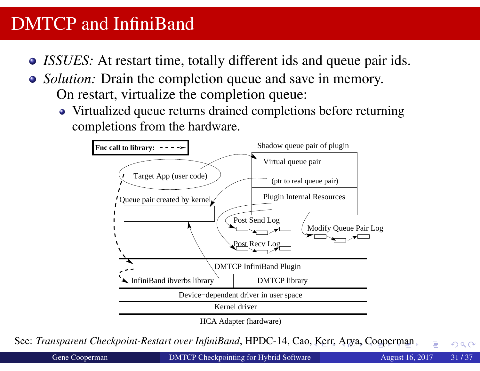## DMTCP and InfiniBand

- <span id="page-30-0"></span>*ISSUES:* At restart time, totally different ids and queue pair ids.
- *Solution:* Drain the completion queue and save in memory. On restart, virtualize the completion queue:
	- Virtualized queue returns drained completions before returning completions from the hardware.



HCA Adapter (hardware)

See: *Transparent Checkpoint-Restart over InfiniBand*, HPDC-14, Cao, [K](#page-29-0)e[rr,](#page-31-0) [A](#page-29-0)[rya](#page-30-0)[,](#page-31-0) [C](#page-19-0)[oo](#page-20-0)[pe](#page-36-0)[rm](#page-19-0)[a](#page-20-0)[n](#page-36-0) $\Omega$ 

Gene Cooperman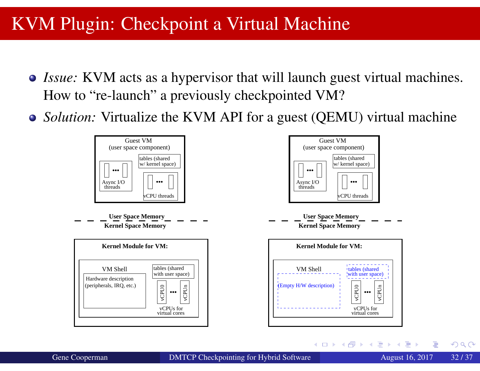## KVM Plugin: Checkpoint <sup>a</sup> Virtual Machine

- <span id="page-31-0"></span>*Issue:* KVM acts as <sup>a</sup> hypervisor that will launch gues<sup>t</sup> virtual machines. How to "re-launch" <sup>a</sup> previously checkpointed VM?
- *Solution:* Virtualize the KVM API for <sup>a</sup> gues<sup>t</sup> (QEMU) virtual machine



э

 $\Omega$ 

◀ □ ▶ ◀ @ ▶ ◀ 듣 ▶ ◀ 듣 ▶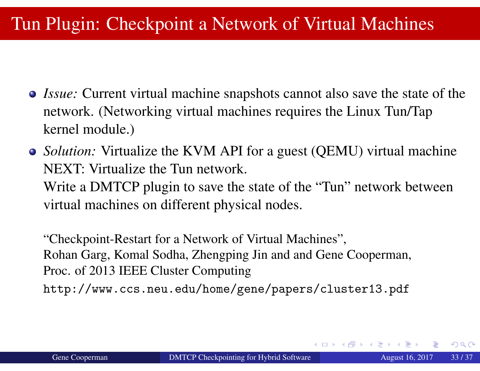## Tun Plugin: Checkpoint <sup>a</sup> Network of Virtual Machines

- *Issue:* Current virtual machine snapshots cannot also save the state of thenetwork. (Networking virtual machines requires the Linux Tun/Tapkernel module.)
- *Solution:* Virtualize the KVM API for <sup>a</sup> gues<sup>t</sup> (QEMU) virtual machineNEXT: Virtualize the Tun network. Write a DMTCP plugin to save the state of the "Tun" network between virtual machines on different physical nodes.

"Checkpoint-Restart for <sup>a</sup> Network of Virtual Machines", Rohan Garg, Komal Sodha, Zhengping Jin and and Gene Cooperman, Proc. of 2013 IEEE Cluster Computing<http://www.ccs.neu.edu/home/gene/papers/cluster13.pdf>

 $DQ$ 

◀ ロ ▶ ◀ @ ▶ ◀ 듣 ▶ ◀ 듣 ▶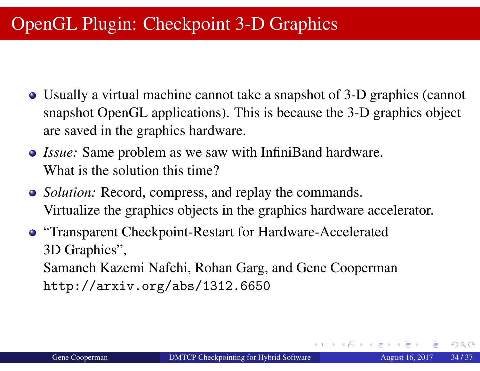## OpenGL Plugin: Checkpoint 3-D Graphics

- Usually <sup>a</sup> virtual machine cannot take <sup>a</sup> snapshot of 3-D graphics (cannotsnapshot OpenGL applications). This is because the 3-D graphics objectare saved in the graphics hardware.
- *Issue:* Same problem as we saw with InfiniBand hardware. What is the solution this time?
- *Solution:* Record, compress, and replay the commands. Virtualize the graphics objects in the graphics hardware accelerator.
- "Transparent Checkpoint-Restart for Hardware-Accelerated3D Graphics",

Samaneh Kazemi Nafchi, Rohan Garg, and Gene Cooperman<http://arxiv.org/abs/1312.6650>

つのへ

◀ ロ ▶ ◀ 包 ▶ ◀ 듣 ▶ ◀ 듣 ▶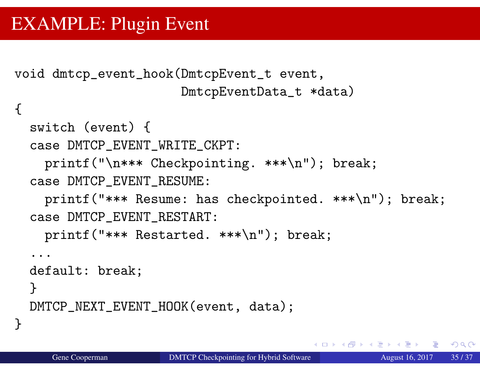```
void dmtcp_event_hook(DmtcpEvent_t event,
                      DmtcpEventData_t *data)
\{switch (event) {
  case DMTCP_EVENT_WRITE_CKPT:
    printf("\n*** Checkpointing. ***\n"); break;
  case DMTCP_EVENT_RESUME:
    printf("*** Resume: has checkpointed. ***\n"); break;
  case DMTCP_EVENT_RESTART:
    printf("*** Restarted. ***\n"); break;
  . .
  default: break;
  }
DMTCP_NEXT_EVENT_HOOK(event, data);
}
```
 $OQ$ 

◀ㅁ▶◀@▶◀롣▶◀롣▶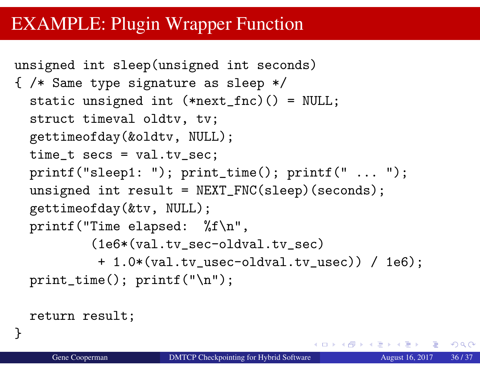## EXAMPLE: Plugin Wrapper Function

```
unsigned int sleep(unsigned int seconds)
{ /* Same type signature as sleep */
  static unsigned int (*next_fnc)() = NULL;
  struct timeval oldtv, tv;
 gettimeofday(&oldtv, NULL);
  time_t secs = val.tv_sec;
 printf("sleep1: "); print_time(); printf(" ... ");
 unsigned int result = NEXT_FNC(sleep)(seconds);
  gettimeofday(&tv, NULL);
 printf("Time elapsed: %f\n",
          (1e6*(val.tv_sec-oldval.tv_sec)
+ 1.0*(val.tv_usec-oldval.tv_usec)) / 1e6);
 print_time(); printf("\n");
```
return result;

}

 $OQ$ 

◀ ㅁ ▶ ◀ @ ▶ ◀ 듣 ▶ ◀ 듣 ▶ │ 듣.